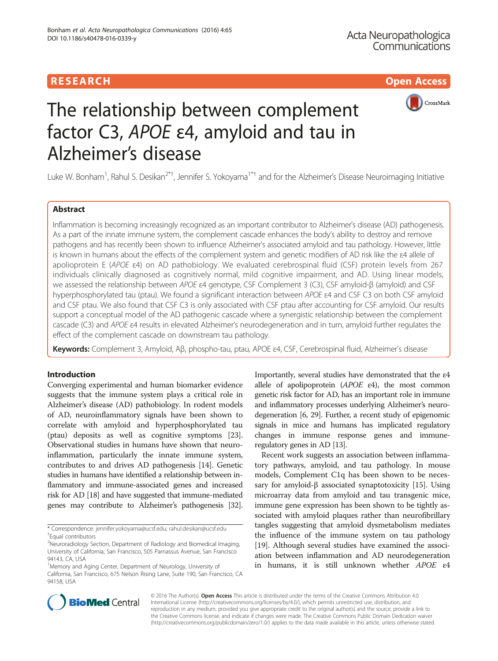

# The relationship between complement factor C3, APOE <sup>ε</sup>4, amyloid and tau in Alzheimer's disease

Luke W. Bonham<sup>1</sup>, Rahul S. Desikan<sup>2\*†</sup>, Jennifer S. Yokoyama<sup>1\*†</sup> and for the Alzheimer's Disease Neuroimaging Initiative

# Abstract

Inflammation is becoming increasingly recognized as an important contributor to Alzheimer's disease (AD) pathogenesis. As a part of the innate immune system, the complement cascade enhances the body's ability to destroy and remove pathogens and has recently been shown to influence Alzheimer's associated amyloid and tau pathology. However, little is known in humans about the effects of the complement system and genetic modifiers of AD risk like the ε4 allele of apolioprotein E (APOE ε4) on AD pathobiology. We evaluated cerebrospinal fluid (CSF) protein levels from 267 individuals clinically diagnosed as cognitively normal, mild cognitive impairment, and AD. Using linear models, we assessed the relationship between APOE ε4 genotype, CSF Complement 3 (C3), CSF amyloid-β (amyloid) and CSF hyperphosphorylated tau (ptau). We found a significant interaction between APOE ε4 and CSF C3 on both CSF amyloid and CSF ptau. We also found that CSF C3 is only associated with CSF ptau after accounting for CSF amyloid. Our results support a conceptual model of the AD pathogenic cascade where a synergistic relationship between the complement cascade (C3) and APOE ε4 results in elevated Alzheimer's neurodegeneration and in turn, amyloid further regulates the effect of the complement cascade on downstream tau pathology.

Keywords: Complement 3, Amyloid, Aβ, phospho-tau, ptau, APOE ε4, CSF, Cerebrospinal fluid, Alzheimer's disease

# Introduction

Converging experimental and human biomarker evidence suggests that the immune system plays a critical role in Alzheimer's disease (AD) pathobiology. In rodent models of AD, neuroinflammatory signals have been shown to correlate with amyloid and hyperphosphorylated tau (ptau) deposits as well as cognitive symptoms [[23](#page-6-0)]. Observational studies in humans have shown that neuroinflammation, particularly the innate immune system, contributes to and drives AD pathogenesis [[14](#page-5-0)]. Genetic studies in humans have identified a relationship between inflammatory and immune-associated genes and increased risk for AD [[18](#page-5-0)] and have suggested that immune-mediated genes may contribute to Alzheimer's pathogenesis [\[32](#page-6-0)].

\* Correspondence: [jennifer.yokoyama@ucsf.edu;](mailto:jennifer.yokoyama@ucsf.edu) [rahul.desikan@ucsf.edu](mailto:rahul.desikan@ucsf.edu) † Equal contributors

<sup>1</sup>Memory and Aging Center, Department of Neurology, University of California, San Francisco, 675 Nelson Rising Lane, Suite 190, San Francisco, CA 94158, USA

Importantly, several studies have demonstrated that the ε4 allele of apolipoprotein  $(APOE \epsilon 4)$ , the most common genetic risk factor for AD, has an important role in immune and inflammatory processes underlying Alzheimer's neurodegeneration [[6](#page-5-0), [29\]](#page-6-0). Further, a recent study of epigenomic signals in mice and humans has implicated regulatory changes in immune response genes and immuneregulatory genes in AD [\[13](#page-5-0)].

Recent work suggests an association between inflammatory pathways, amyloid, and tau pathology. In mouse models, Complement C1q has been shown to be necessary for amyloid-β associated synaptotoxicity [[15](#page-5-0)]. Using microarray data from amyloid and tau transgenic mice, immune gene expression has been shown to be tightly associated with amyloid plaques rather than neurofibrillary tangles suggesting that amyloid dysmetabolism mediates the influence of the immune system on tau pathology [[19](#page-6-0)]. Although several studies have examined the association between inflammation and AD neurodegeneration in humans, it is still unknown whether APOE ε4



© 2016 The Author(s). Open Access This article is distributed under the terms of the Creative Commons Attribution 4.0 International License [\(http://creativecommons.org/licenses/by/4.0/](http://creativecommons.org/licenses/by/4.0/)), which permits unrestricted use, distribution, and reproduction in any medium, provided you give appropriate credit to the original author(s) and the source, provide a link to the Creative Commons license, and indicate if changes were made. The Creative Commons Public Domain Dedication waiver [\(http://creativecommons.org/publicdomain/zero/1.0/](http://creativecommons.org/publicdomain/zero/1.0/)) applies to the data made available in this article, unless otherwise stated.

<sup>&</sup>lt;sup>2</sup>Neuroradiology Section, Department of Radiology and Biomedical Imaging, University of California, San Francisco, 505 Parnassus Avenue, San Francisco 94143, CA, USA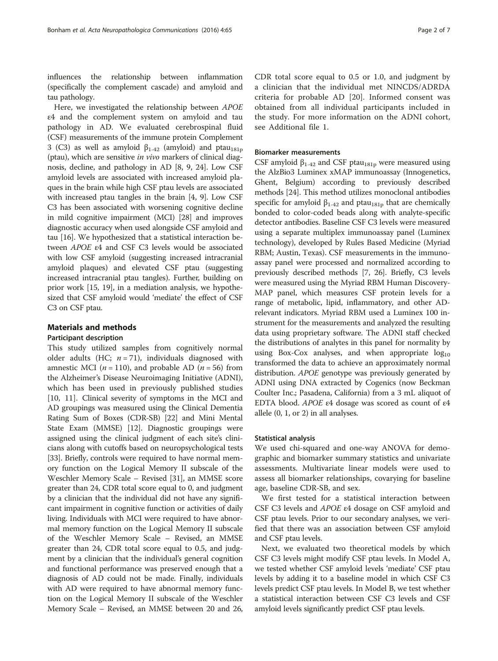influences the relationship between inflammation (specifically the complement cascade) and amyloid and tau pathology.

Here, we investigated the relationship between APOE ε4 and the complement system on amyloid and tau pathology in AD. We evaluated cerebrospinal fluid (CSF) measurements of the immune protein Complement 3 (C3) as well as amyloid  $\beta_{1-42}$  (amyloid) and ptau<sub>181p</sub> (ptau), which are sensitive in vivo markers of clinical diagnosis, decline, and pathology in AD [\[8](#page-5-0), [9](#page-5-0), [24\]](#page-6-0). Low CSF amyloid levels are associated with increased amyloid plaques in the brain while high CSF ptau levels are associated with increased ptau tangles in the brain [\[4](#page-5-0), [9](#page-5-0)]. Low CSF C3 has been associated with worsening cognitive decline in mild cognitive impairment (MCI) [[28\]](#page-6-0) and improves diagnostic accuracy when used alongside CSF amyloid and tau [\[16](#page-5-0)]. We hypothesized that a statistical interaction between APOE ε4 and CSF C3 levels would be associated with low CSF amyloid (suggesting increased intracranial amyloid plaques) and elevated CSF ptau (suggesting increased intracranial ptau tangles). Further, building on prior work [\[15,](#page-5-0) [19\]](#page-6-0), in a mediation analysis, we hypothesized that CSF amyloid would 'mediate' the effect of CSF C3 on CSF ptau.

## Materials and methods Participant description

This study utilized samples from cognitively normal older adults (HC;  $n = 71$ ), individuals diagnosed with amnestic MCI ( $n = 110$ ), and probable AD ( $n = 56$ ) from the Alzheimer's Disease Neuroimaging Initiative (ADNI), which has been used in previously published studies [[10, 11\]](#page-5-0). Clinical severity of symptoms in the MCI and AD groupings was measured using the Clinical Dementia Rating Sum of Boxes (CDR-SB) [[22\]](#page-6-0) and Mini Mental State Exam (MMSE) [[12](#page-5-0)]. Diagnostic groupings were assigned using the clinical judgment of each site's clinicians along with cutoffs based on neuropsychological tests [[33](#page-6-0)]. Briefly, controls were required to have normal memory function on the Logical Memory II subscale of the Weschler Memory Scale – Revised [\[31\]](#page-6-0), an MMSE score greater than 24, CDR total score equal to 0, and judgment by a clinician that the individual did not have any significant impairment in cognitive function or activities of daily living. Individuals with MCI were required to have abnormal memory function on the Logical Memory II subscale of the Weschler Memory Scale – Revised, an MMSE greater than 24, CDR total score equal to 0.5, and judgment by a clinician that the individual's general cognition and functional performance was preserved enough that a diagnosis of AD could not be made. Finally, individuals with AD were required to have abnormal memory function on the Logical Memory II subscale of the Weschler Memory Scale – Revised, an MMSE between 20 and 26, a clinician that the individual met NINCDS/ADRDA criteria for probable AD [[20\]](#page-6-0). Informed consent was obtained from all individual participants included in the study. For more information on the ADNI cohort, see Additional file [1](#page-5-0).

### Biomarker measurements

CSF amyloid  $\beta_{1-42}$  and CSF ptau<sub>181p</sub> were measured using the AlzBio3 Luminex xMAP immunoassay (Innogenetics, Ghent, Belgium) according to previously described methods [\[24\]](#page-6-0). This method utilizes monoclonal antibodies specific for amyloid  $\beta_{1-42}$  and ptau<sub>181p</sub> that are chemically bonded to color-coded beads along with analyte-specific detector antibodies. Baseline CSF C3 levels were measured using a separate multiplex immunoassay panel (Luminex technology), developed by Rules Based Medicine (Myriad RBM; Austin, Texas). CSF measurements in the immunoassay panel were processed and normalized according to previously described methods [\[7,](#page-5-0) [26\]](#page-6-0). Briefly, C3 levels were measured using the Myriad RBM Human Discovery-MAP panel, which measures CSF protein levels for a range of metabolic, lipid, inflammatory, and other ADrelevant indicators. Myriad RBM used a Luminex 100 instrument for the measurements and analyzed the resulting data using proprietary software. The ADNI staff checked the distributions of analytes in this panel for normality by using Box-Cox analyses, and when appropriate  $log_{10}$ transformed the data to achieve an approximately normal distribution. APOE genotype was previously generated by ADNI using DNA extracted by Cogenics (now Beckman Coulter Inc.; Pasadena, California) from a 3 mL aliquot of EDTA blood. APOE ε4 dosage was scored as count of ε4 allele (0, 1, or 2) in all analyses.

#### Statistical analysis

We used chi-squared and one-way ANOVA for demographic and biomarker summary statistics and univariate assessments. Multivariate linear models were used to assess all biomarker relationships, covarying for baseline age, baseline CDR-SB, and sex.

We first tested for a statistical interaction between CSF C3 levels and APOE ε4 dosage on CSF amyloid and CSF ptau levels. Prior to our secondary analyses, we verified that there was an association between CSF amyloid and CSF ptau levels.

Next, we evaluated two theoretical models by which CSF C3 levels might modify CSF ptau levels. In Model A, we tested whether CSF amyloid levels 'mediate' CSF ptau levels by adding it to a baseline model in which CSF C3 levels predict CSF ptau levels. In Model B, we test whether a statistical interaction between CSF C3 levels and CSF amyloid levels significantly predict CSF ptau levels.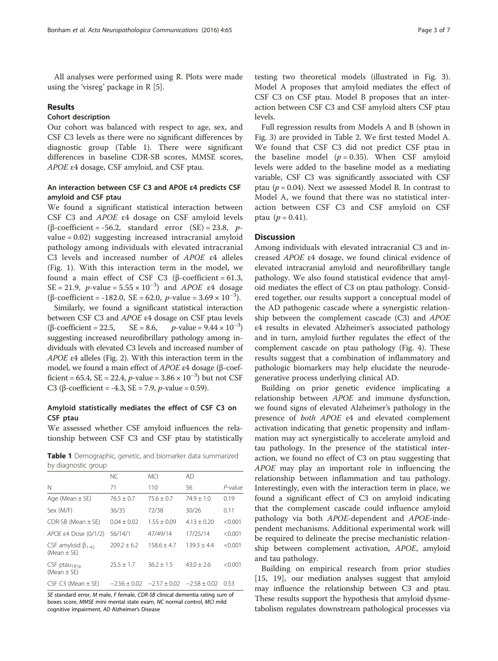All analyses were performed using R. Plots were made using the 'visreg' package in R [\[5](#page-5-0)].

#### Results

## Cohort description

Our cohort was balanced with respect to age, sex, and CSF C3 levels as there were no significant differences by diagnostic group (Table 1). There were significant differences in baseline CDR-SB scores, MMSE scores, APOE ε4 dosage, CSF amyloid, and CSF ptau.

# An interaction between CSF C3 and APOE ε4 predicts CSF amyloid and CSF ptau

We found a significant statistical interaction between CSF C3 and APOE ε4 dosage on CSF amyloid levels (β-coefficient = -56.2, standard error (SE) = 23.8, pvalue = 0.02) suggesting increased intracranial amyloid pathology among individuals with elevated intracranial C3 levels and increased number of APOE ε4 alleles (Fig. [1\)](#page-3-0). With this interaction term in the model, we found a main effect of CSF C3 (β-coefficient = 61.3, SE = 21.9, *p*-value =  $5.55 \times 10^{-3}$ ) and *APOE* ε4 dosage (β-coefficient = -182.0, SE = 62.0, *p*-value =  $3.69 \times 10^{-3}$ ).

Similarly, we found a significant statistical interaction between CSF C3 and APOE ε4 dosage on CSF ptau levels  $(\beta$ -coefficient = 22.5, SE = 8.6, p-value = 9.44 × 10<sup>-3</sup>) suggesting increased neurofibrillary pathology among individuals with elevated C3 levels and increased number of APOE ε4 alleles (Fig. [2\)](#page-3-0). With this interaction term in the model, we found a main effect of APOE ε4 dosage (β-coefficient = 65.4, SE = 22.4, *p*-value =  $3.86 \times 10^{-3}$ ) but not CSF C3 (β-coefficient = -4.3, SE = 7.9, *p*-value = 0.59).

## Amyloid statistically mediates the effect of CSF C3 on CSF ptau

We assessed whether CSF amyloid influences the relationship between CSF C3 and CSF ptau by statistically

Table 1 Demographic, genetic, and biomarker data summarized by diagnostic group

|                                               | NC.            | MCI            | AD             |         |
|-----------------------------------------------|----------------|----------------|----------------|---------|
| N                                             | 71             | 110            | 56             | P-value |
| Age (Mean $\pm$ SE)                           | $76.5 \pm 0.7$ | $75.6 + 0.7$   | $74.9 + 1.0$   | 0.19    |
| Sex (M/F)                                     | 36/35          | 72/38          | 30/26          | 0.11    |
| $CDR-SB$ (Mean $\pm$ SE)                      | $0.04 + 0.02$  | $1.55 + 0.09$  | $4.13 + 0.20$  | < 0.001 |
| APOE $\epsilon$ 4 Dose (0/1/2)                | 56/14/1        | 47/49/14       | 17/25/14       | < 0.001 |
| CSF amyloid $\beta_{1-42}$<br>(Mean $\pm$ SE) | $209.2 + 6.2$  | $158.6 + 4.7$  | $139.3 + 4.4$  | < 0.001 |
| CSF ptau $_{181p}$<br>(Mean $\pm$ SE)         | $25.5 + 1.7$   | $36.2 + 1.5$   | $43.0 + 2.6$   | < 0.001 |
| $CSF C3 (Mean \pm SE)$                        | $-2.56 + 0.02$ | $-2.57 + 0.02$ | $-2.58 + 0.02$ | 0.53    |

SE standard error, M male, F female, CDR-SB clinical dementia rating sum of boxes score, MMSE mini mental state exam, NC normal control, MCI mild cognitive impairment, AD Alzheimer's Disease

testing two theoretical models (illustrated in Fig. [3](#page-4-0)). Model A proposes that amyloid mediates the effect of CSF C3 on CSF ptau. Model B proposes that an interaction between CSF C3 and CSF amyloid alters CSF ptau levels.

Full regression results from Models A and B (shown in Fig. [3](#page-4-0)) are provided in Table [2](#page-4-0). We first tested Model A. We found that CSF C3 did not predict CSF ptau in the baseline model  $(p = 0.35)$ . When CSF amyloid levels were added to the baseline model as a mediating variable, CSF C3 was significantly associated with CSF ptau ( $p = 0.04$ ). Next we assessed Model B. In contrast to Model A, we found that there was no statistical interaction between CSF C3 and CSF amyloid on CSF ptau  $(p = 0.41)$ .

## **Discussion**

Among individuals with elevated intracranial C3 and increased APOE ε4 dosage, we found clinical evidence of elevated intracranial amyloid and neurofibrillary tangle pathology. We also found statistical evidence that amyloid mediates the effect of C3 on ptau pathology. Considered together, our results support a conceptual model of the AD pathogenic cascade where a synergistic relationship between the complement cascade (C3) and APOE ε4 results in elevated Alzheimer's associated pathology and in turn, amyloid further regulates the effect of the complement cascade on ptau pathology (Fig. [4\)](#page-4-0). These results suggest that a combination of inflammatory and pathologic biomarkers may help elucidate the neurodegenerative process underlying clinical AD.

Building on prior genetic evidence implicating a relationship between APOE and immune dysfunction, we found signs of elevated Alzheimer's pathology in the presence of both APOE ε4 and elevated complement activation indicating that genetic propensity and inflammation may act synergistically to accelerate amyloid and tau pathology. In the presence of the statistical interaction, we found no effect of C3 on ptau suggesting that APOE may play an important role in influencing the relationship between inflammation and tau pathology. Interestingly, even with the interaction term in place, we found a significant effect of C3 on amyloid indicating that the complement cascade could influence amyloid pathology via both APOE-dependent and APOE-independent mechanisms. Additional experimental work will be required to delineate the precise mechanistic relationship between complement activation, APOE, amyloid and tau pathology.

Building on empirical research from prior studies [[15,](#page-5-0) [19\]](#page-6-0), our mediation analyses suggest that amyloid may influence the relationship between C3 and ptau. These results support the hypothesis that amyloid dysmetabolism regulates downstream pathological processes via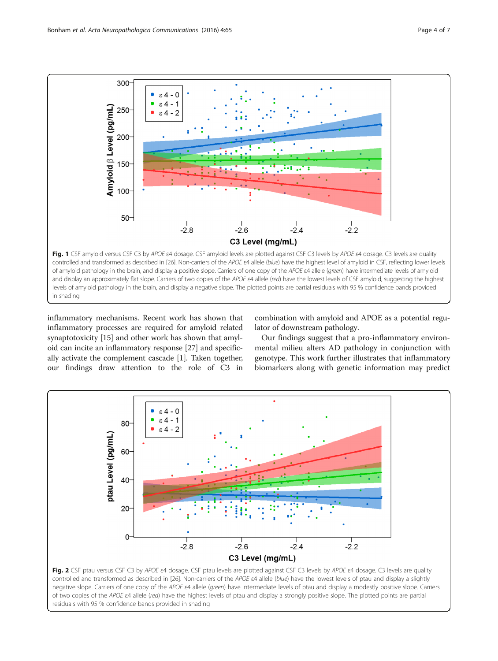<span id="page-3-0"></span>

inflammatory mechanisms. Recent work has shown that inflammatory processes are required for amyloid related synaptotoxicity [\[15\]](#page-5-0) and other work has shown that amyloid can incite an inflammatory response [\[27\]](#page-6-0) and specifically activate the complement cascade [[1](#page-5-0)]. Taken together, our findings draw attention to the role of C3 in

residuals with 95 % confidence bands provided in shading

combination with amyloid and APOE as a potential regulator of downstream pathology.

Our findings suggest that a pro-inflammatory environmental milieu alters AD pathology in conjunction with genotype. This work further illustrates that inflammatory biomarkers along with genetic information may predict

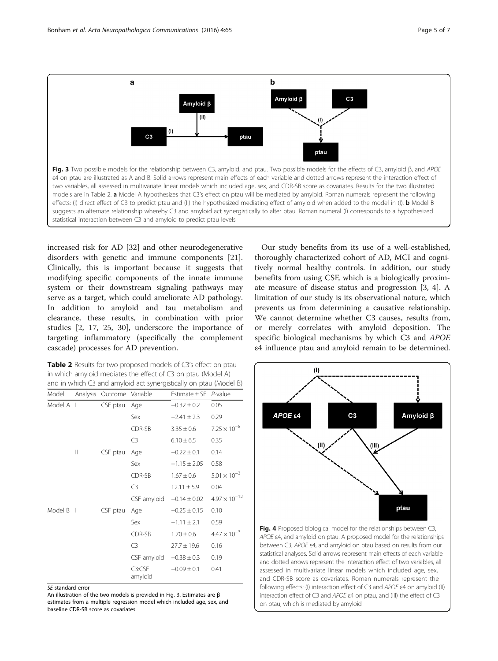<span id="page-4-0"></span>

increased risk for AD [\[32\]](#page-6-0) and other neurodegenerative disorders with genetic and immune components [\[21](#page-6-0)]. Clinically, this is important because it suggests that modifying specific components of the innate immune system or their downstream signaling pathways may serve as a target, which could ameliorate AD pathology. In addition to amyloid and tau metabolism and clearance, these results, in combination with prior studies [[2](#page-5-0), [17,](#page-5-0) [25](#page-6-0), [30\]](#page-6-0), underscore the importance of targeting inflammatory (specifically the complement cascade) processes for AD prevention.

| <b>Table 2</b> Results for two proposed models of C3's effect on ptau |
|-----------------------------------------------------------------------|
| in which amyloid mediates the effect of C3 on ptau (Model A)          |
| and in which C3 and amyloid act synergistically on ptau (Model B)     |

| Model   |        | Analysis Outcome | Variable          | Estimate $\pm$ SE $P$ -value |                        |
|---------|--------|------------------|-------------------|------------------------------|------------------------|
| Model A | $\Box$ | CSF ptau         | Age               | $-0.32 \pm 0.2$              | 0.05                   |
|         |        |                  | Sex               | $-2.41 \pm 2.3$              | 0.29                   |
|         |        |                  | CDR-SB            | $3.35 \pm 0.6$               | $7.25 \times 10^{-8}$  |
|         |        |                  | C <sub>3</sub>    | $6.10 \pm 6.5$               | 0.35                   |
|         | Ш      | CSF ptau         | Age               | $-0.22 \pm 0.1$              | 0.14                   |
|         |        |                  | Sex               | $-1.15 \pm 2.05$             | 0.58                   |
|         |        |                  | CDR-SB            | $1.67 \pm 0.6$               | $5.01 \times 10^{-3}$  |
|         |        |                  | C <sub>3</sub>    | $12.11 \pm 5.9$              | 0.04                   |
|         |        |                  | CSF amyloid       | $-0.14 \pm 0.02$             | $4.97 \times 10^{-12}$ |
| Model B |        | CSF ptau         | Age               | $-0.25 \pm 0.15$             | 0.10                   |
|         |        |                  | Sex               | $-1.11 \pm 2.1$              | 0.59                   |
|         |        |                  | CDR-SB            | $1.70 \pm 0.6$               | $4.47 \times 10^{-3}$  |
|         |        |                  | C <sub>3</sub>    | $27.7 \pm 19.6$              | 0.16                   |
|         |        |                  | CSF amyloid       | $-0.38 \pm 0.3$              | 0.19                   |
|         |        |                  | C3:CSF<br>amyloid | $-0.09 \pm 0.1$              | 0.41                   |

SE standard error

An illustration of the two models is provided in Fig. 3. Estimates are β estimates from a multiple regression model which included age, sex, and baseline CDR-SB score as covariates

Our study benefits from its use of a well-established, thoroughly characterized cohort of AD, MCI and cognitively normal healthy controls. In addition, our study benefits from using CSF, which is a biologically proximate measure of disease status and progression [[3, 4](#page-5-0)]. A limitation of our study is its observational nature, which prevents us from determining a causative relationship. We cannot determine whether C3 causes, results from, or merely correlates with amyloid deposition. The specific biological mechanisms by which C3 and APOE ε4 influence ptau and amyloid remain to be determined.



Fig. 4 Proposed biological model for the relationships between C3, APOE ε4, and amyloid on ptau. A proposed model for the relationships between C3, APOE ε4, and amyloid on ptau based on results from our statistical analyses. Solid arrows represent main effects of each variable and dotted arrows represent the interaction effect of two variables, all assessed in multivariate linear models which included age, sex, and CDR-SB score as covariates. Roman numerals represent the following effects: (I) interaction effect of C3 and APOE ε4 on amyloid (II) interaction effect of C3 and APOE ε4 on ptau, and (III) the effect of C3 on ptau, which is mediated by amyloid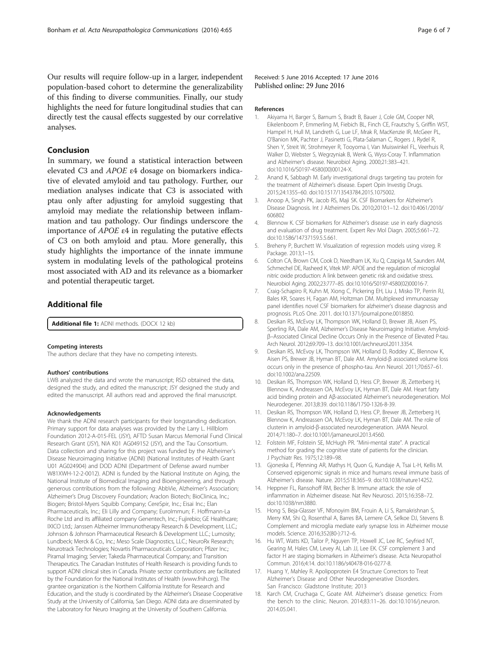<span id="page-5-0"></span>Our results will require follow-up in a larger, independent population-based cohort to determine the generalizability of this finding to diverse communities. Finally, our study highlights the need for future longitudinal studies that can directly test the causal effects suggested by our correlative analyses.

# Conclusion

In summary, we found a statistical interaction between elevated C3 and APOE ε4 dosage on biomarkers indicative of elevated amyloid and tau pathology. Further, our mediation analyses indicate that C3 is associated with ptau only after adjusting for amyloid suggesting that amyloid may mediate the relationship between inflammation and tau pathology. Our findings underscore the importance of  $APOE$  ε4 in regulating the putative effects of C3 on both amyloid and ptau. More generally, this study highlights the importance of the innate immune system in modulating levels of the pathological proteins most associated with AD and its relevance as a biomarker and potential therapeutic target.

## Additional file

[Additional file 1:](dx.doi.org/10.1186/s40478-016-0339-y) ADNI methods. (DOCX 12 kb)

#### Competing interests

The authors declare that they have no competing interests.

#### Authors' contributions

LWB analyzed the data and wrote the manuscript; RSD obtained the data, designed the study, and edited the manuscript; JSY designed the study and edited the manuscript. All authors read and approved the final manuscript.

#### Acknowledgements

We thank the ADNI research participants for their longstanding dedication. Primary support for data analyses was provided by the Larry L. Hillblom Foundation 2012-A-015-FEL (JSY), AFTD Susan Marcus Memorial Fund Clinical Research Grant (JSY), NIA K01 AG049152 (JSY), and the Tau Consortium. Data collection and sharing for this project was funded by the Alzheimer's Disease Neuroimaging Initiative (ADNI) (National Institutes of Health Grant U01 AG024904) and DOD ADNI (Department of Defense award number W81XWH-12-2-0012). ADNI is funded by the National Institute on Aging, the National Institute of Biomedical Imaging and Bioengineering, and through generous contributions from the following: AbbVie, Alzheimer's Association; Alzheimer's Drug Discovery Foundation; Araclon Biotech; BioClinica, Inc.; Biogen; Bristol-Myers Squibb Company; CereSpir, Inc.; Eisai Inc.; Elan Pharmaceuticals, Inc.; Eli Lilly and Company; EuroImmun; F. Hoffmann-La Roche Ltd and its affiliated company Genentech, Inc.; Fujirebio; GE Healthcare; IXICO Ltd.; Janssen Alzheimer Immunotherapy Research & Development, LLC.; Johnson & Johnson Pharmaceutical Research & Development LLC.; Lumosity; Lundbeck; Merck & Co., Inc.; Meso Scale Diagnostics, LLC.; NeuroRx Research; Neurotrack Technologies; Novartis Pharmaceuticals Corporation; Pfizer Inc.; Piramal Imaging; Servier; Takeda Pharmaceutical Company; and Transition Therapeutics. The Canadian Institutes of Health Research is providing funds to support ADNI clinical sites in Canada. Private sector contributions are facilitated by the Foundation for the National Institutes of Health [\(www.fnih.org\)](http://www.fnih.org/). The grantee organization is the Northern California Institute for Research and Education, and the study is coordinated by the Alzheimer's Disease Cooperative Study at the University of California, San Diego. ADNI data are disseminated by the Laboratory for Neuro Imaging at the University of Southern California.

Received: 5 June 2016 Accepted: 17 June 2016 Published online: 29 June 2016

#### References

- 1. Akiyama H, Barger S, Barnum S, Bradt B, Bauer J, Cole GM, Cooper NR, Eikelenboom P, Emmerling M, Fiebich BL, Finch CE, Frautschy S, Griffin WST, Hampel H, Hull M, Landreth G, Lue LF, Mrak R, MacKenzie IR, McGeer PL, O'Banion MK, Pachter J, Pasinetti G, Plata-Salaman C, Rogers J, Rydel R, Shen Y, Streit W, Strohmeyer R, Tooyoma I, Van Muiswinkel FL, Veerhuis R, Walker D, Webster S, Wegrzyniak B, Wenk G, Wyss-Coray T. Inflammation and Alzheimer's disease. Neurobiol Aging. 2000;21:383–421. doi[:10.1016/S0197-4580\(00\)00124-X](http://dx.doi.org/10.1016/S0197-4580(00)00124-X).
- 2. Anand K, Sabbagh M. Early investigational drugs targeting tau protein for the treatment of Alzheimer's disease. Expert Opin Investig Drugs. 2015;24:1355–60. doi[:10.1517/13543784.2015.1075002.](http://dx.doi.org/10.1517/13543784.2015.1075002)
- 3. Anoop A, Singh PK, Jacob RS, Maji SK. CSF Biomarkers for Alzheimer's Disease Diagnosis. Int J Alzheimers Dis. 2010;2010:1–12. doi[:10.4061/2010/](http://dx.doi.org/10.4061/2010/606802) [606802](http://dx.doi.org/10.4061/2010/606802)
- 4. Blennow K. CSF biomarkers for Alzheimer's disease: use in early diagnosis and evaluation of drug treatment. Expert Rev Mol Diagn. 2005;5:661–72. doi[:10.1586/14737159.5.5.661](http://dx.doi.org/10.1586/14737159.5.5.661).
- 5. Breheny P, Burchett W. Visualization of regression models using visreg. R Package. 2013;1–15.
- 6. Colton CA, Brown CM, Cook D, Needham LK, Xu Q, Czapiga M, Saunders AM, Schmechel DE, Rasheed K, Vitek MP. APOE and the regulation of microglial nitric oxide production: A link between genetic risk and oxidative stress. Neurobiol Aging. 2002;23:777–85. doi:[10.1016/S0197-4580\(02\)00016-7](http://dx.doi.org/10.1016/S0197-4580(02)00016-7).
- 7. Craig-Schapiro R, Kuhn M, Xiong C, Pickering EH, Liu J, Misko TP, Perrin RJ, Bales KR, Soares H, Fagan AM, Holtzman DM. Multiplexed immunoassay panel identifies novel CSF biomarkers for alzheimer's disease diagnosis and prognosis. PLoS One. 2011. doi[:10.1371/journal.pone.0018850](http://dx.doi.org/10.1371/journal.pone.0018850).
- 8. Desikan RS, McEvoy LK, Thompson WK, Holland D, Brewer JB, Aisen PS Sperling RA, Dale AM, Alzheimer's Disease Neuroimaging Initiative. Amyloidβ–Associated Clinical Decline Occurs Only in the Presence of Elevated P-tau. Arch Neurol. 2012;69:709–13. doi[:10.1001/archneurol.2011.3354.](http://dx.doi.org/10.1001/archneurol.2011.3354)
- 9. Desikan RS, McEvoy LK, Thompson WK, Holland D, Roddey JC, Blennow K, Aisen PS, Brewer JB, Hyman BT, Dale AM. Amyloid-β associated volume loss occurs only in the presence of phospho-tau. Ann Neurol. 2011;70:657–61. doi[:10.1002/ana.22509.](http://dx.doi.org/10.1002/ana.22509)
- 10. Desikan RS, Thompson WK, Holland D, Hess CP, Brewer JB, Zetterberg H, Blennow K, Andreassen OA, McEvoy LK, Hyman BT, Dale AM. Heart fatty acid binding protein and Aβ-associated Alzheimer's neurodegeneration. Mol Neurodegener. 2013;8:39. doi[:10.1186/1750-1326-8-39](http://dx.doi.org/10.1186/1750-1326-8-39).
- 11. Desikan RS, Thompson WK, Holland D, Hess CP, Brewer JB, Zetterberg H, Blennow K, Andreassen OA, McEvoy LK, Hyman BT, Dale AM. The role of clusterin in amyloid-β-associated neurodegeneration. JAMA Neurol. 2014;71:180–7. doi[:10.1001/jamaneurol.2013.4560](http://dx.doi.org/10.1001/jamaneurol.2013.4560).
- 12. Folstein MF, Folstein SE, McHugh PR. "Mini-mental state". A practical method for grading the cognitive state of patients for the clinician. J Psychiatr Res. 1975;12:189–98.
- 13. Gjoneska E, Pfenning AR, Mathys H, Quon G, Kundaje A, Tsai L-H, Kellis M. Conserved epigenomic signals in mice and humans reveal immune basis of Alzheimer's disease. Nature. 2015;518:365–9. doi[:10.1038/nature14252.](http://dx.doi.org/10.1038/nature14252)
- 14. Heppner FL, Ransohoff RM, Becher B. Immune attack: the role of inflammation in Alzheimer disease. Nat Rev Neurosci. 2015;16:358–72. doi[:10.1038/nrn3880](http://dx.doi.org/10.1038/nrn3880).
- 15. Hong S, Beja-Glasser VF, Nfonoyim BM, Frouin A, Li S, Ramakrishnan S, Merry KM, Shi Q, Rosenthal A, Barres BA, Lemere CA, Selkoe DJ, Stevens B. Complement and microglia mediate early synapse loss in Alzheimer mouse models. Science. 2016;352(80-):712–6.
- 16. Hu WT, Watts KD, Tailor P, Nguyen TP, Howell JC, Lee RC, Seyfried NT, Gearing M, Hales CM, Levey AI, Lah JJ, Lee EK. CSF complement 3 and factor H are staging biomarkers in Alzheimer's disease. Acta Neuropathol Commun. 2016;4:14. doi:[10.1186/s40478-016-0277-8](http://dx.doi.org/10.1186/s40478-016-0277-8).
- 17. Huang Y, Mahley R. Apolipoprotein E4 Structure Correctors to Treat Alzheimer's Disease and Other Neurodegenerative Disorders. San Francisco: Gladstone Institute; 2013
- 18. Karch CM, Cruchaga C, Goate AM. Alzheimer's disease genetics: From the bench to the clinic. Neuron. 2014;83:11–26. doi:[10.1016/j.neuron.](http://dx.doi.org/10.1016/j.neuron.2014.05.041) [2014.05.041.](http://dx.doi.org/10.1016/j.neuron.2014.05.041)